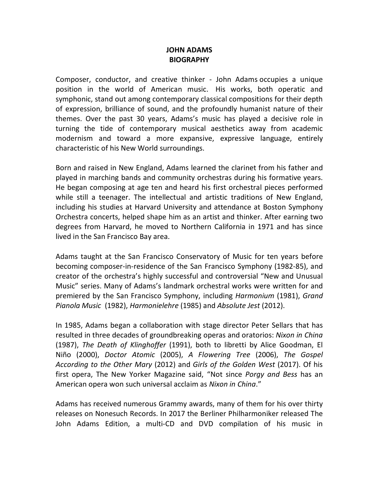## **JOHN ADAMS BIOGRAPHY**

Composer, conductor, and creative thinker - John Adams occupies a unique position in the world of American music. His works, both operatic and symphonic, stand out among contemporary classical compositions for their depth of expression, brilliance of sound, and the profoundly humanist nature of their themes. Over the past 30 years, Adams's music has played a decisive role in turning the tide of contemporary musical aesthetics away from academic modernism and toward a more expansive, expressive language, entirely characteristic of his New World surroundings.

Born and raised in New England, Adams learned the clarinet from his father and played in marching bands and community orchestras during his formative years. He began composing at age ten and heard his first orchestral pieces performed while still a teenager. The intellectual and artistic traditions of New England, including his studies at Harvard University and attendance at Boston Symphony Orchestra concerts, helped shape him as an artist and thinker. After earning two degrees from Harvard, he moved to Northern California in 1971 and has since lived in the San Francisco Bay area.

Adams taught at the San Francisco Conservatory of Music for ten years before becoming composer-in-residence of the San Francisco Symphony (1982-85), and creator of the orchestra's highly successful and controversial "New and Unusual Music" series. Many of Adams's landmark orchestral works were written for and premiered by the San Francisco Symphony, including *Harmonium* (1981), *Grand Pianola Music* (1982), *Harmonielehre* (1985) and *Absolute Jest* (2012).

In 1985, Adams began a collaboration with stage director Peter Sellars that has resulted in three decades of groundbreaking operas and oratorios: *Nixon in China* (1987), *The Death of Klinghoffer* (1991), both to libretti by Alice Goodman, El Niño (2000), *Doctor Atomic* (2005), *A Flowering Tree* (2006), *The Gospel According to the Other Mary* (2012) and *Girls of the Golden West* (2017). Of his first opera, The New Yorker Magazine said, "Not since *Porgy and Bess* has an American opera won such universal acclaim as *Nixon in China*."

Adams has received numerous Grammy awards, many of them for his over thirty releases on Nonesuch Records. In 2017 the Berliner Philharmoniker released The John Adams Edition, a multi-CD and DVD compilation of his music in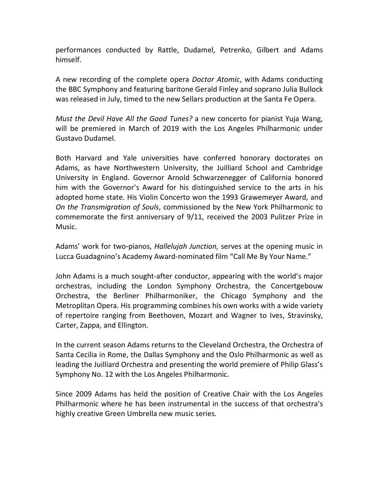performances conducted by Rattle, Dudamel, Petrenko, Gilbert and Adams himself.

A new recording of the complete opera *Doctor Atomic*, with Adams conducting the BBC Symphony and featuring baritone Gerald Finley and soprano Julia Bullock was released in July, timed to the new Sellars production at the Santa Fe Opera.

*Must the Devil Have All the Good Tunes?* a new concerto for pianist Yuja Wang, will be premiered in March of 2019 with the Los Angeles Philharmonic under Gustavo Dudamel.

Both Harvard and Yale universities have conferred honorary doctorates on Adams, as have Northwestern University, the Juilliard School and Cambridge University in England. Governor Arnold Schwarzenegger of California honored him with the Governor's Award for his distinguished service to the arts in his adopted home state. His Violin Concerto won the 1993 Grawemeyer Award, and *On the Transmigration of Souls*, commissioned by the New York Philharmonic to commemorate the first anniversary of 9/11, received the 2003 Pulitzer Prize in Music.

Adams' work for two-pianos, *Hallelujah Junction,* serves at the opening music in Lucca Guadagnino's Academy Award-nominated film "Call Me By Your Name."

John Adams is a much sought-after conductor, appearing with the world's major orchestras, including the London Symphony Orchestra, the Concertgebouw Orchestra, the Berliner Philharmoniker, the Chicago Symphony and the Metroplitan Opera. His programming combines his own works with a wide variety of repertoire ranging from Beethoven, Mozart and Wagner to Ives, Stravinsky, Carter, Zappa, and Ellington.

In the current season Adams returns to the Cleveland Orchestra, the Orchestra of Santa Cecilia in Rome, the Dallas Symphony and the Oslo Philharmonic as well as leading the Juilliard Orchestra and presenting the world premiere of Philip Glass's Symphony No. 12 with the Los Angeles Philharmonic.

Since 2009 Adams has held the position of Creative Chair with the Los Angeles Philharmonic where he has been instrumental in the success of that orchestra's highly creative Green Umbrella new music series.